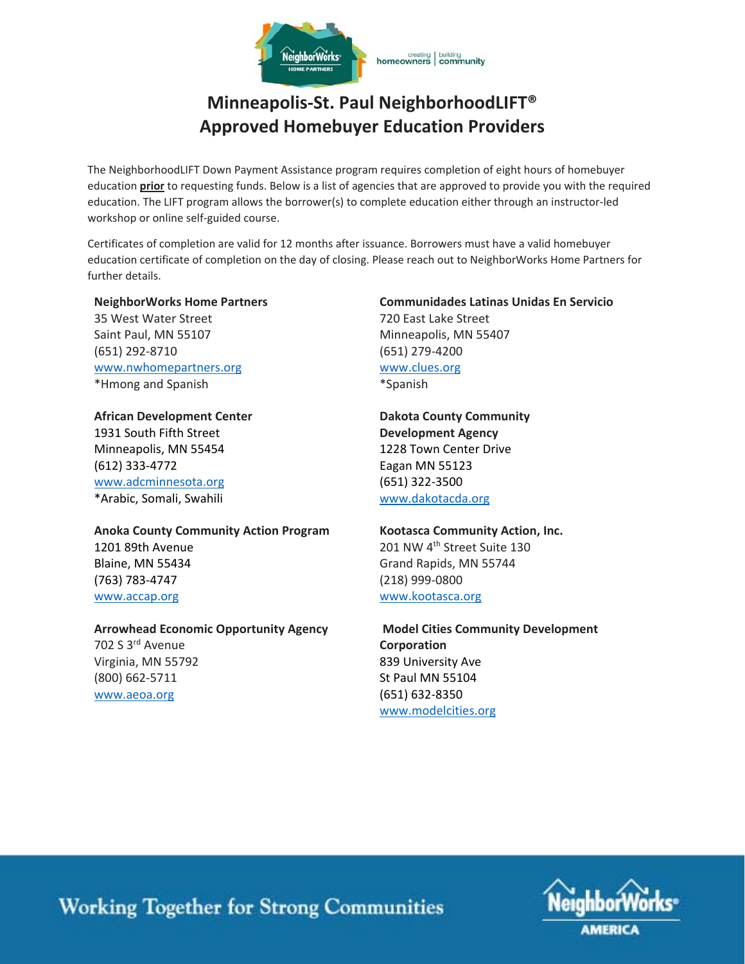

# **Minneapolis‐St. Paul NeighborhoodLIFT® Approved Homebuyer Education Providers**

The NeighborhoodLIFT Down Payment Assistance program requires completion of eight hours of homebuyer education **prior** to requesting funds. Below is a list of agencies that are approved to provide you with the required education. The LIFT program allows the borrower(s) to complete education either through an instructor‐led workshop or online self‐guided course.

Certificates of completion are valid for 12 months after issuance. Borrowers must have a valid homebuyer education certificate of completion on the day of closing. Please reach out to NeighborWorks Home Partners for further details.

#### **NeighborWorks Home Partners**

35 West Water Street Saint Paul, MN 55107 (651) 292‐8710 www.nwhomepartners.org \*Hmong and Spanish

### **African Development Center**

1931 South Fifth Street Minneapolis, MN 55454 (612) 333‐4772 www.adcminnesota.org \*Arabic, Somali, Swahili

### **Communidades Latinas Unidas En Servicio**  720 East Lake Street Minneapolis, MN 55407 (651) 279‐4200 www.clues.org \*Spanish

## **Dakota County Community Development Agency**  1228 Town Center Drive Eagan MN 55123 (651) 322‐3500 www.dakotacda.org

### **Anoka County Community Action Program**  1201 89th Avenue Blaine, MN 55434 (763) 783‐4747 www.accap.org

**Arrowhead Economic Opportunity Agency**  702 S 3rd Avenue Virginia, MN 55792 (800) 662‐5711 www.aeoa.org

## **Kootasca Community Action, Inc.**  201 NW 4<sup>th</sup> Street Suite 130 Grand Rapids, MN 55744 (218) 999‐0800 www.kootasca.org

### **Model Cities Community Development Corporation**  839 University Ave St Paul MN 55104 (651) 632‐8350 www.modelcities.org



**Working Together for Strong Communities**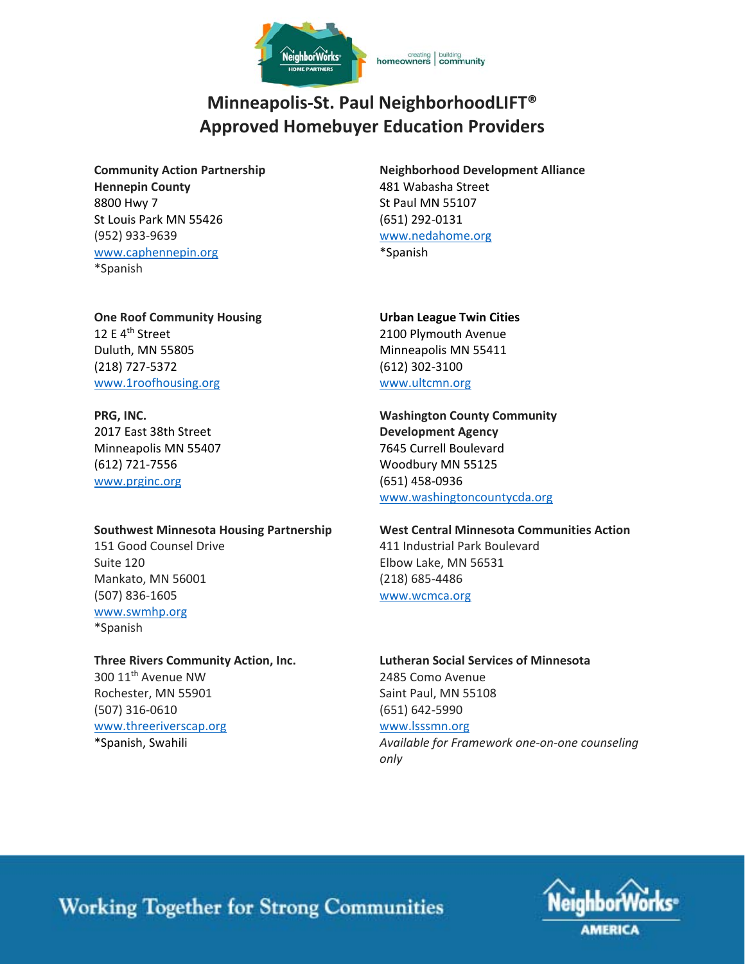

# **Minneapolis‐St. Paul NeighborhoodLIFT® Approved Homebuyer Education Providers**

**Community Action Partnership Hennepin County**  8800 Hwy 7 St Louis Park MN 55426 (952) 933‐9639 www.caphennepin.org \*Spanish

**Neighborhood Development Alliance**  481 Wabasha Street St Paul MN 55107 (651) 292‐0131 www.nedahome.org \*Spanish

**One Roof Community Housing** 12 E 4<sup>th</sup> Street Duluth, MN 55805 (218) 727‐5372 www.1roofhousing.org

## **PRG, INC.**  2017 East 38th Street Minneapolis MN 55407 (612) 721‐7556

www.prginc.org

### **Southwest Minnesota Housing Partnership**

151 Good Counsel Drive Suite 120 Mankato, MN 56001 (507) 836‐1605 www.swmhp.org \*Spanish

#### **Three Rivers Community Action, Inc.**  300 11<sup>th</sup> Avenue NW

Rochester, MN 55901 (507) 316‐0610 www.threeriverscap.org \*Spanish, Swahili

**Urban League Twin Cities**  2100 Plymouth Avenue Minneapolis MN 55411 (612) 302‐3100 www.ultcmn.org

**Washington County Community Development Agency** 7645 Currell Boulevard Woodbury MN 55125 (651) 458‐0936 www.washingtoncountycda.org

# **West Central Minnesota Communities Action**  411 Industrial Park Boulevard Elbow Lake, MN 56531 (218) 685‐4486

www.wcmca.org

## **Lutheran Social Services of Minnesota**  2485 Como Avenue Saint Paul, MN 55108 (651) 642‐5990 www.lsssmn.org

*Available for Framework one‐on‐one counseling only*